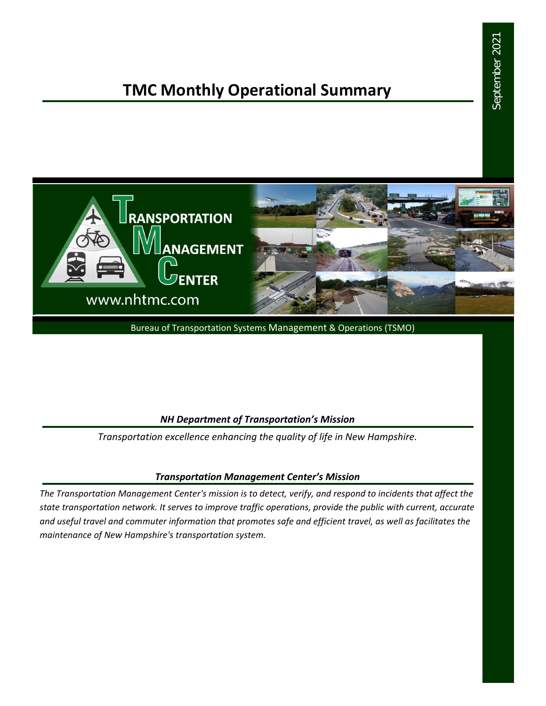# September 2021 September 2021

# **TMC Monthly Operational Summary**



Bureau of Transportation Systems Management & Operations (TSMO)

### *NH Department of Transportation's Mission*

*Transportation excellence enhancing the quality of life in New Hampshire.*

### *Transportation Management Center's Mission*

*The Transportation Management Center's mission is to detect, verify, and respond to incidents that affect the state transportation network. It serves to improve traffic operations, provide the public with current, accurate and useful travel and commuter information that promotes safe and efficient travel, as well as facilitates the maintenance of New Hampshire's transportation system.*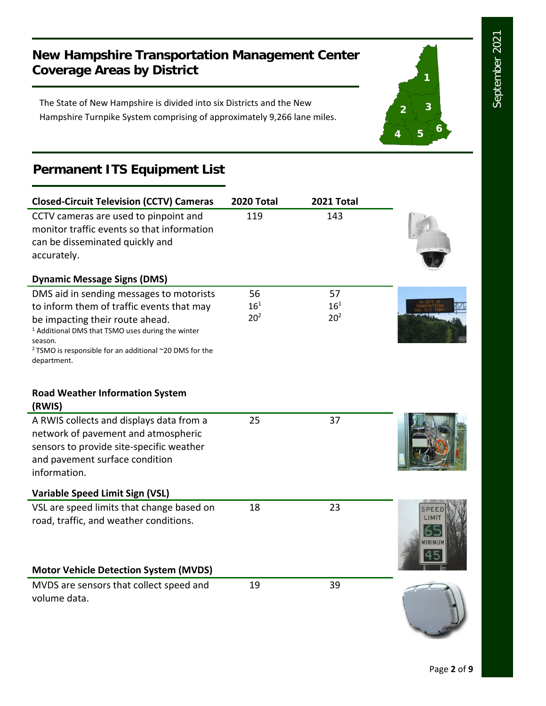September 2021 September 2021

### **New Hampshire Transportation Management Center Coverage Areas by District**

The State of New Hampshire is divided into six Districts and the New Hampshire Turnpike System comprising of approximately 9,266 lane miles.

# **Permanent ITS Equipment List**

| <b>Closed-Circuit Television (CCTV) Cameras</b>                                                                                                                                                 | 2020 Total      | 2021 Total     |  |
|-------------------------------------------------------------------------------------------------------------------------------------------------------------------------------------------------|-----------------|----------------|--|
| CCTV cameras are used to pinpoint and<br>monitor traffic events so that information<br>can be disseminated quickly and<br>accurately.                                                           | 119             | 143            |  |
| <b>Dynamic Message Signs (DMS)</b>                                                                                                                                                              |                 |                |  |
| DMS aid in sending messages to motorists<br>to inform them of traffic events that may                                                                                                           | 56<br>$16^{1}$  | 57<br>$16^{1}$ |  |
| be impacting their route ahead.<br><sup>1</sup> Additional DMS that TSMO uses during the winter<br>season.<br><sup>2</sup> TSMO is responsible for an additional ~20 DMS for the<br>department. | 20 <sup>2</sup> | $20^{2}$       |  |
| <b>Road Weather Information System</b><br>(RWIS)                                                                                                                                                |                 |                |  |
| A RWIS collects and displays data from a<br>network of pavement and atmospheric<br>sensors to provide site-specific weather<br>and pavement surface condition<br>information.                   | 25              | 37             |  |
| Variable Speed Limit Sign (VSL)                                                                                                                                                                 |                 |                |  |
| VSL are speed limits that change based on<br>road, traffic, and weather conditions.                                                                                                             | 18              | 23             |  |
| <b>Motor Vehicle Detection System (MVDS)</b>                                                                                                                                                    |                 |                |  |
| MVDS are sensors that collect speed and<br>volume data.                                                                                                                                         | 19              | 39             |  |

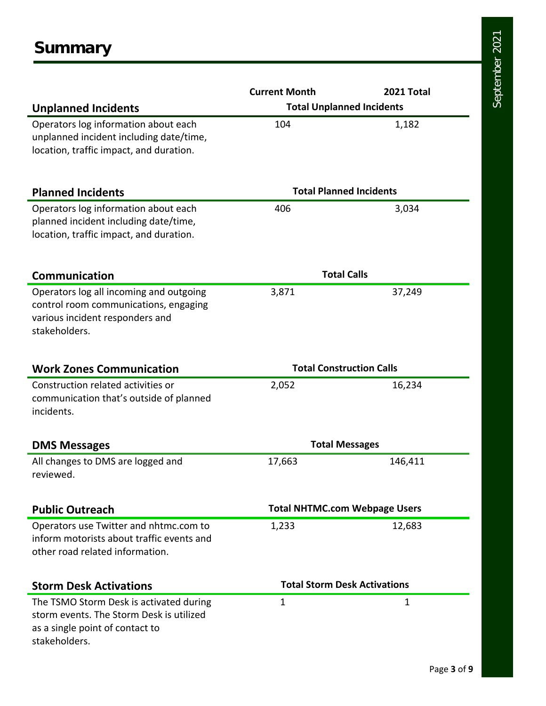|                                           | <b>Current Month</b>                 | 2021 Total |  |
|-------------------------------------------|--------------------------------------|------------|--|
| <b>Unplanned Incidents</b>                | <b>Total Unplanned Incidents</b>     |            |  |
| Operators log information about each      | 104                                  | 1,182      |  |
| unplanned incident including date/time,   |                                      |            |  |
| location, traffic impact, and duration.   |                                      |            |  |
|                                           |                                      |            |  |
| <b>Planned Incidents</b>                  | <b>Total Planned Incidents</b>       |            |  |
| Operators log information about each      | 406                                  | 3,034      |  |
| planned incident including date/time,     |                                      |            |  |
| location, traffic impact, and duration.   |                                      |            |  |
| <b>Communication</b>                      | <b>Total Calls</b>                   |            |  |
| Operators log all incoming and outgoing   | 3,871                                | 37,249     |  |
| control room communications, engaging     |                                      |            |  |
| various incident responders and           |                                      |            |  |
| stakeholders.                             |                                      |            |  |
|                                           |                                      |            |  |
| <b>Work Zones Communication</b>           | <b>Total Construction Calls</b>      |            |  |
| Construction related activities or        | 2,052                                | 16,234     |  |
| communication that's outside of planned   |                                      |            |  |
| incidents.                                |                                      |            |  |
| <b>DMS Messages</b>                       | <b>Total Messages</b>                |            |  |
| All changes to DMS are logged and         | 17,663                               | 146,411    |  |
| reviewed.                                 |                                      |            |  |
|                                           |                                      |            |  |
| <b>Public Outreach</b>                    | <b>Total NHTMC.com Webpage Users</b> |            |  |
| Operators use Twitter and nhtmc.com to    | 1,233                                | 12,683     |  |
| inform motorists about traffic events and |                                      |            |  |
| other road related information.           |                                      |            |  |
| <b>Storm Desk Activations</b>             | <b>Total Storm Desk Activations</b>  |            |  |
| The TSMO Storm Desk is activated during   | $\mathbf{1}$                         | 1          |  |
| storm events. The Storm Desk is utilized  |                                      |            |  |
| as a single point of contact to           |                                      |            |  |
| stakeholders.                             |                                      |            |  |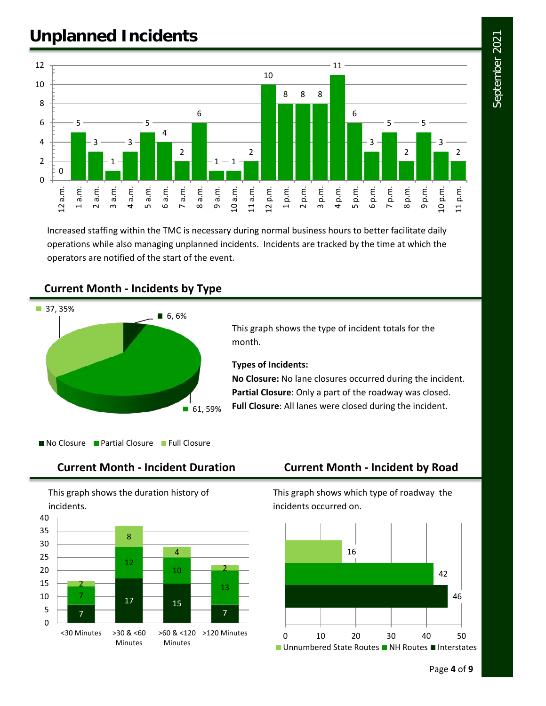# **Unplanned Incidents**



Increased staffing within the TMC is necessary during normal business hours to better facilitate daily operations while also managing unplanned incidents. Incidents are tracked by the time at which the operators are notified of the start of the event.

### **Current Month - Incidents by Type**



This graph shows the type of incident totals for the month.

### **Types of Incidents:**

**No Closure:** No lane closures occurred during the incident. **Partial Closure**: Only a part of the roadway was closed. **Full Closure**: All lanes were closed during the incident.

No Closure Partial Closure Full Closure

### **Current Month - Incident Duration Current Month - Incident by Road**

This graph shows the duration history of incidents.



This graph shows which type of roadway the incidents occurred on.

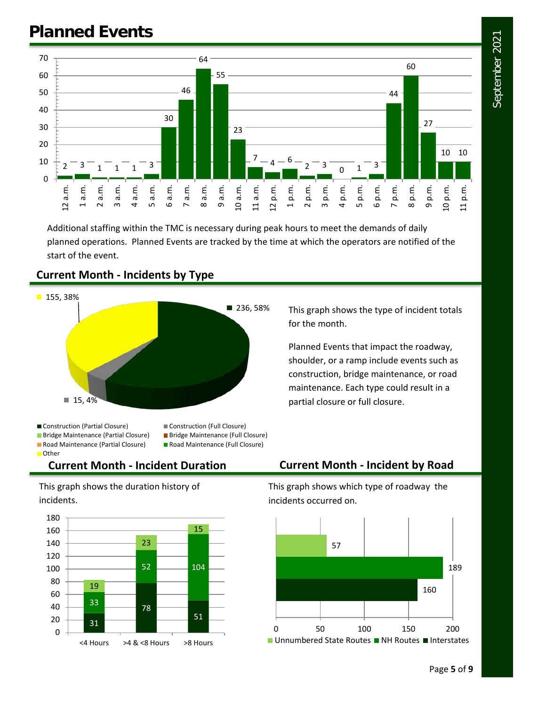# **Planned Events**



Additional staffing within the TMC is necessary during peak hours to meet the demands of daily planned operations. Planned Events are tracked by the time at which the operators are notified of the start of the event.



### **Current Month - Incidents by Type**

■ Construction (Partial Closure) Construction (Full Closure) ■ Bridge Maintenance (Partial Closure) ■ Bridge Maintenance (Full Closure) ■ Road Maintenance (Partial Closure) ■ Road Maintenance (Full Closure) **Other** 

- 
- 
- 

### **Current Month - Incident Duration Current Month - Incident by Road**

This graph shows the duration history of incidents.



partial closure or full closure.

This graph shows the type of incident totals

Planned Events that impact the roadway, shoulder, or a ramp include events such as construction, bridge maintenance, or road maintenance. Each type could result in a

for the month.

This graph shows which type of roadway the incidents occurred on.

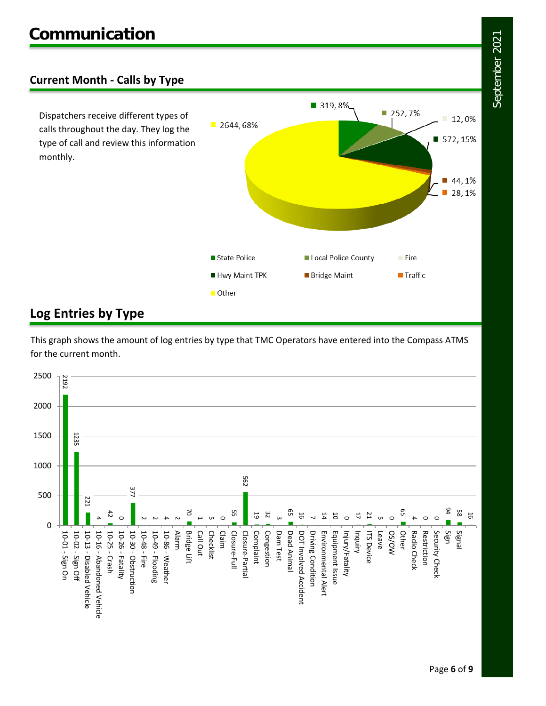### **Current Month - Calls by Type**

Dispatchers receive different types of calls throughout the day. They log the type of call and review this information monthly.



### **Log Entries by Type**

This graph shows the amount of log entries by type that TMC Operators have entered into the Compass ATMS for the current month.

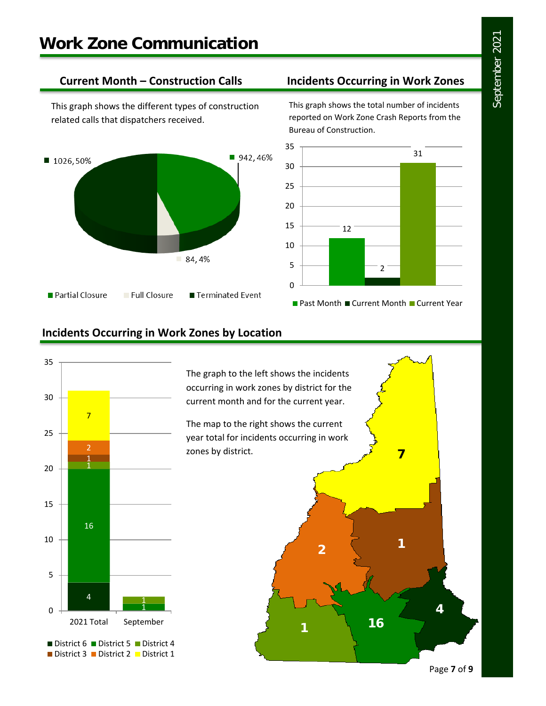This graph shows the different types of construction related calls that dispatchers received.



### **Current Month – Construction Calls Incidents Occurring in Work Zones**

This graph shows the total number of incidents reported on Work Zone Crash Reports from the Bureau of Construction.



### **Incidents Occurring in Work Zones by Location**



The graph to the left shows the incidents occurring in work zones by district for the current month and for the current year.

The map to the right shows the current year total for incidents occurring in work zones by district.



Page **7** of **9**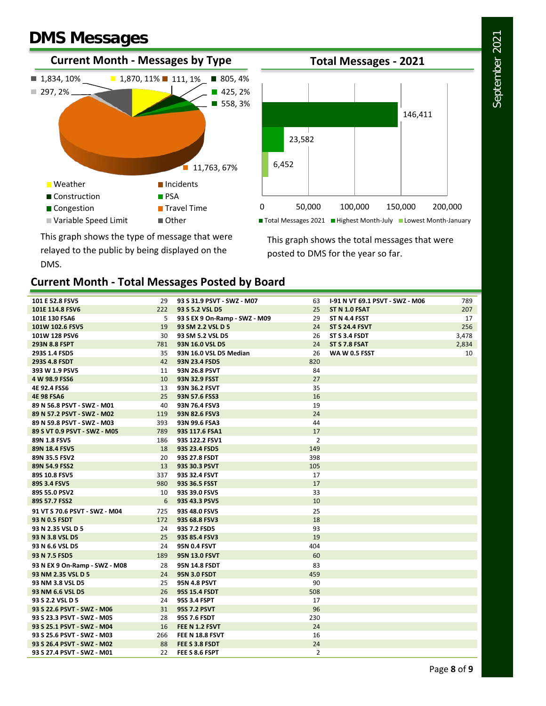# **DMS Messages**





This graph shows the type of message that were relayed to the public by being displayed on the DMS.

This graph shows the total messages that were posted to DMS for the year so far.

### **Current Month - Total Messages Posted by Board**

| 101 E 52.8 FSV5               | 29  | 93 S 31.9 PSVT - SWZ - M07    | 63             | 1-91 N VT 69.1 PSVT - SWZ - M06 | 789   |
|-------------------------------|-----|-------------------------------|----------------|---------------------------------|-------|
| 101E 114.8 FSV6               | 222 | 93 S 5.2 VSL D5               | 25             | ST N 1.0 FSAT                   | 207   |
| 101E 130 FSA6                 | 5   | 93 S EX 9 On-Ramp - SWZ - M09 | 29             | ST N 4.4 FSST                   | 17    |
| 101W 102.6 FSV5               | 19  | 93 SM 2.2 VSL D 5             | 24             | <b>ST S 24.4 FSVT</b>           | 256   |
| 101W 128 PSV6                 | 30  | 93 SM 5.2 VSL D5              | 26             | ST S 3.4 FSDT                   | 3,478 |
| <b>293N 8.8 FSPT</b>          | 781 | 93N 16.0 VSL D5               | 24             | ST S 7.8 FSAT                   | 2,834 |
| 293S 1.4 FSD5                 | 35  | 93N 16.0 VSL D5 Median        | 26             | <b>WA W 0.5 FSST</b>            | 10    |
| 293S 4.8 FSDT                 | 42  | 93N 23.4 FSD5                 | 820            |                                 |       |
| 393 W 1.9 PSV5                | 11  | 93N 26.8 PSVT                 | 84             |                                 |       |
| 4 W 98.9 FSS6                 | 10  | 93N 32.9 FSST                 | 27             |                                 |       |
| 4E 92.4 FSS6                  | 13  | 93N 36.2 FSVT                 | 35             |                                 |       |
| <b>4E 98 FSA6</b>             | 25  | 93N 57.6 FSS3                 | 16             |                                 |       |
| 89 N 56.8 PSVT - SWZ - M01    | 40  | 93N 76.4 FSV3                 | 19             |                                 |       |
| 89 N 57.2 PSVT - SWZ - M02    | 119 | 93N 82.6 FSV3                 | 24             |                                 |       |
| 89 N 59.8 PSVT - SWZ - M03    | 393 | 93N 99.6 FSA3                 | 44             |                                 |       |
| 89 S VT 0.9 PSVT - SWZ - M05  | 789 | 93S 117.6 FSA1                | 17             |                                 |       |
| 89N 1.8 FSV5                  | 186 | 93S 122.2 FSV1                | 2              |                                 |       |
| 89N 18.4 FSV5                 | 18  | 93S 23.4 FSD5                 | 149            |                                 |       |
| 89N 35.5 FSV2                 | 20  | 93S 27.8 FSDT                 | 398            |                                 |       |
| 89N 54.9 FSS2                 | 13  | 93S 30.3 PSVT                 | 105            |                                 |       |
| 89S 10.8 FSV5                 | 337 | 93S 32.4 FSVT                 | 17             |                                 |       |
| 89S 3.4 FSV5                  | 980 | 93S 36.5 FSST                 | 17             |                                 |       |
| 89S 55.0 PSV2                 | 10  | 93S 39.0 FSV5                 | 33             |                                 |       |
| 89S 57.7 FSS2                 | 6   | 93S 43.3 PSV5                 | 10             |                                 |       |
| 91 VT S 70.6 PSVT - SWZ - M04 | 725 | 93S 48.0 FSV5                 | 25             |                                 |       |
| 93 N 0.5 FSDT                 | 172 | 93S 68.8 FSV3                 | 18             |                                 |       |
| 93 N 2.35 VSL D 5             | 24  | 93S 7.2 FSD5                  | 93             |                                 |       |
| 93 N 3.8 VSL D5               | 25  | 93S 85.4 FSV3                 | 19             |                                 |       |
| 93 N 6.6 VSL D5               | 24  | 95N 0.4 FSVT                  | 404            |                                 |       |
| 93 N 7.5 FSD5                 | 189 | 95N 13.0 FSVT                 | 60             |                                 |       |
| 93 N EX 9 On-Ramp - SWZ - M08 | 28  | 95N 14.8 FSDT                 | 83             |                                 |       |
| 93 NM 2.35 VSL D 5            | 24  | <b>95N 3.0 FSDT</b>           | 459            |                                 |       |
| 93 NM 3.8 VSL D5              | 25  | 95N 4.8 PSVT                  | 90             |                                 |       |
| 93 NM 6.6 VSL D5              | 26  | 95S 15.4 FSDT                 | 508            |                                 |       |
| 93 S 2.2 VSL D 5              | 24  | 95S 3.4 FSPT                  | 17             |                                 |       |
| 93 S 22.6 PSVT - SWZ - M06    | 31  | <b>95S 7.2 PSVT</b>           | 96             |                                 |       |
| 93 S 23.3 PSVT - SWZ - M05    | 28  | 95S 7.6 FSDT                  | 230            |                                 |       |
| 93 S 25.1 PSVT - SWZ - M04    | 16  | FEE N 1.2 FSVT                | 24             |                                 |       |
| 93 S 25.6 PSVT - SWZ - M03    | 266 | FEE N 18.8 FSVT               | 16             |                                 |       |
| 93 S 26.4 PSVT - SWZ - M02    | 88  | FEE S 3.8 FSDT                | 24             |                                 |       |
| 93 S 27.4 PSVT - SWZ - M01    | 22  | FEE S 8.6 FSPT                | $\overline{2}$ |                                 |       |